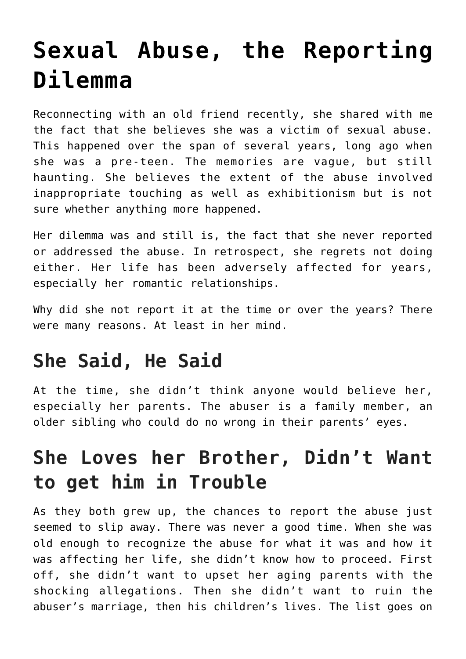# **[Sexual Abuse, the Reporting](https://loreeebee.ca/2022/03/23/sexual-abuse-reporting-dilemma/) [Dilemma](https://loreeebee.ca/2022/03/23/sexual-abuse-reporting-dilemma/)**

Reconnecting with an old friend recently, she shared with me the fact that she believes she was a victim of sexual abuse. This happened over the span of several years, long ago when she was a pre-teen. The memories are vague, but still haunting. She believes the extent of the abuse involved inappropriate touching as well as exhibitionism but is not sure whether anything more happened.

Her dilemma was and still is, the fact that she never reported or addressed the abuse. In retrospect, she regrets not doing either. Her life has been adversely affected for years, especially her romantic relationships.

Why did she not report it at the time or over the years? There were many reasons. At least in her mind.

## **She Said, He Said**

At the time, she didn't think anyone would believe her, especially her parents. The abuser is a family member, an older sibling who could do no wrong in their parents' eyes.

# **She Loves her Brother, Didn't Want to get him in Trouble**

As they both grew up, the chances to report the abuse just seemed to slip away. There was never a good time. When she was old enough to recognize the abuse for what it was and how it was affecting her life, she didn't know how to proceed. First off, she didn't want to upset her aging parents with the shocking allegations. Then she didn't want to ruin the abuser's marriage, then his children's lives. The list goes on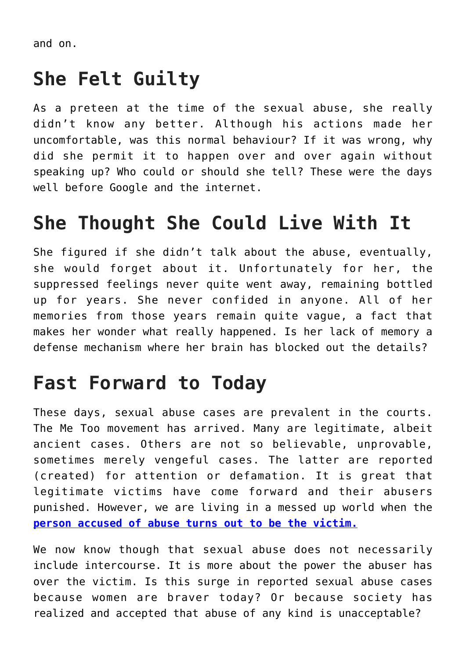and on.

#### **She Felt Guilty**

As a preteen at the time of the sexual abuse, she really didn't know any better. Although his actions made her uncomfortable, was this normal behaviour? If it was wrong, why did she permit it to happen over and over again without speaking up? Who could or should she tell? These were the days well before Google and the internet.

## **She Thought She Could Live With It**

She figured if she didn't talk about the abuse, eventually, she would forget about it. Unfortunately for her, the suppressed feelings never quite went away, remaining bottled up for years. She never confided in anyone. All of her memories from those years remain quite vague, a fact that makes her wonder what really happened. Is her lack of memory a defense mechanism where her brain has blocked out the details?

#### **Fast Forward to Today**

These days, sexual abuse cases are prevalent in the courts. The Me Too movement has arrived. Many are legitimate, albeit ancient cases. Others are not so believable, unprovable, sometimes merely vengeful cases. The latter are reported (created) for attention or defamation. It is great that legitimate victims have come forward and their abusers punished. However, we are living in a messed up world when the **[person accused of abuse turns out to be the victim.](https://www.ontario-criminal-lawyers.com/sexual-assault-lawyer/patrick-brown-story/)**

We now know though that sexual abuse does not necessarily include intercourse. It is more about the power the abuser has over the victim. Is this surge in reported sexual abuse cases because women are braver today? Or because society has realized and accepted that abuse of any kind is unacceptable?